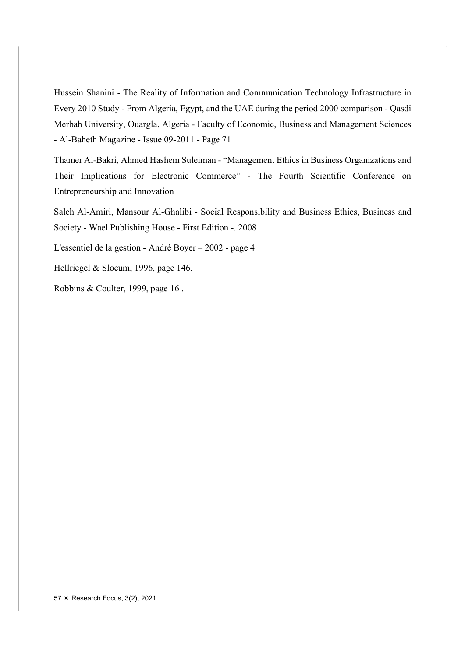Hussein Shanini - The Reality of Information and Communication Technology Infrastructure in Every 2010 Study - From Algeria, Egypt, and the UAE during the period 2000 comparison - Qasdi Merbah University, Ouargla, Algeria - Faculty of Economic, Business and Management Sciences - Al-Baheth Magazine - Issue 09-2011 - Page 71

Thamer Al-Bakri, Ahmed Hashem Suleiman - "Management Ethics in Business Organizations and Their Implications for Electronic Commerce" - The Fourth Scientific Conference on Entrepreneurship and Innovation

Saleh Al-Amiri, Mansour Al-Ghalibi - Social Responsibility and Business Ethics, Business and Society - Wael Publishing House - First Edition -. 2008

L'essentiel de la gestion - André Boyer – 2002 - page 4

Hellriegel & Slocum, 1996, page 146.

Robbins & Coulter, 1999, page 16 .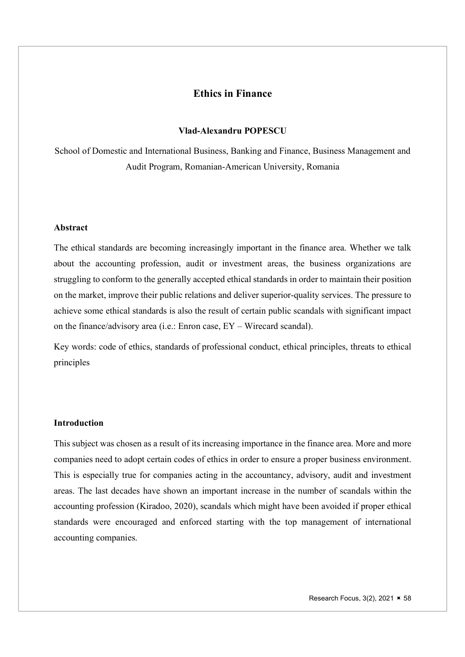# Ethics in Finance

#### Vlad-Alexandru POPESCU

School of Domestic and International Business, Banking and Finance, Business Management and Audit Program, Romanian-American University, Romania

### Abstract

The ethical standards are becoming increasingly important in the finance area. Whether we talk about the accounting profession, audit or investment areas, the business organizations are struggling to conform to the generally accepted ethical standards in order to maintain their position on the market, improve their public relations and deliver superior-quality services. The pressure to achieve some ethical standards is also the result of certain public scandals with significant impact on the finance/advisory area (i.e.: Enron case, EY – Wirecard scandal).

Key words: code of ethics, standards of professional conduct, ethical principles, threats to ethical principles

# Introduction

This subject was chosen as a result of its increasing importance in the finance area. More and more companies need to adopt certain codes of ethics in order to ensure a proper business environment. This is especially true for companies acting in the accountancy, advisory, audit and investment areas. The last decades have shown an important increase in the number of scandals within the accounting profession (Kiradoo, 2020), scandals which might have been avoided if proper ethical standards were encouraged and enforced starting with the top management of international accounting companies.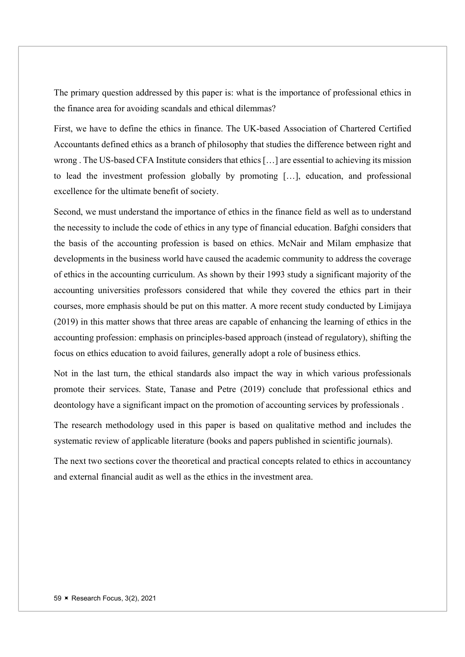The primary question addressed by this paper is: what is the importance of professional ethics in the finance area for avoiding scandals and ethical dilemmas?

First, we have to define the ethics in finance. The UK-based Association of Chartered Certified Accountants defined ethics as a branch of philosophy that studies the difference between right and wrong . The US-based CFA Institute considers that ethics […] are essential to achieving its mission to lead the investment profession globally by promoting […], education, and professional excellence for the ultimate benefit of society.

Second, we must understand the importance of ethics in the finance field as well as to understand the necessity to include the code of ethics in any type of financial education. Bafghi considers that the basis of the accounting profession is based on ethics. McNair and Milam emphasize that developments in the business world have caused the academic community to address the coverage of ethics in the accounting curriculum. As shown by their 1993 study a significant majority of the accounting universities professors considered that while they covered the ethics part in their courses, more emphasis should be put on this matter. A more recent study conducted by Limijaya (2019) in this matter shows that three areas are capable of enhancing the learning of ethics in the accounting profession: emphasis on principles-based approach (instead of regulatory), shifting the focus on ethics education to avoid failures, generally adopt a role of business ethics.

Not in the last turn, the ethical standards also impact the way in which various professionals promote their services. State, Tanase and Petre (2019) conclude that professional ethics and deontology have a significant impact on the promotion of accounting services by professionals .

The research methodology used in this paper is based on qualitative method and includes the systematic review of applicable literature (books and papers published in scientific journals).

The next two sections cover the theoretical and practical concepts related to ethics in accountancy and external financial audit as well as the ethics in the investment area.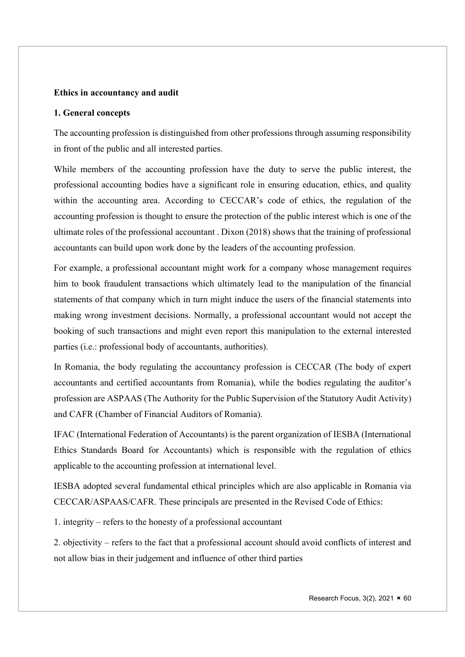# Ethics in accountancy and audit

#### 1. General concepts

The accounting profession is distinguished from other professions through assuming responsibility in front of the public and all interested parties.

While members of the accounting profession have the duty to serve the public interest, the professional accounting bodies have a significant role in ensuring education, ethics, and quality within the accounting area. According to CECCAR's code of ethics, the regulation of the accounting profession is thought to ensure the protection of the public interest which is one of the ultimate roles of the professional accountant . Dixon (2018) shows that the training of professional accountants can build upon work done by the leaders of the accounting profession.

For example, a professional accountant might work for a company whose management requires him to book fraudulent transactions which ultimately lead to the manipulation of the financial statements of that company which in turn might induce the users of the financial statements into making wrong investment decisions. Normally, a professional accountant would not accept the booking of such transactions and might even report this manipulation to the external interested parties (i.e.: professional body of accountants, authorities).

In Romania, the body regulating the accountancy profession is CECCAR (The body of expert accountants and certified accountants from Romania), while the bodies regulating the auditor's profession are ASPAAS (The Authority for the Public Supervision of the Statutory Audit Activity) and CAFR (Chamber of Financial Auditors of Romania).

IFAC (International Federation of Accountants) is the parent organization of IESBA (International Ethics Standards Board for Accountants) which is responsible with the regulation of ethics applicable to the accounting profession at international level.

IESBA adopted several fundamental ethical principles which are also applicable in Romania via CECCAR/ASPAAS/CAFR. These principals are presented in the Revised Code of Ethics:

1. integrity – refers to the honesty of a professional accountant

2. objectivity – refers to the fact that a professional account should avoid conflicts of interest and not allow bias in their judgement and influence of other third parties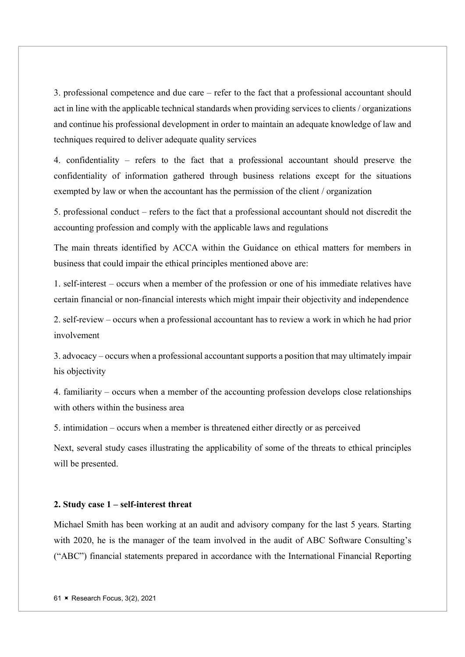3. professional competence and due care – refer to the fact that a professional accountant should act in line with the applicable technical standards when providing services to clients / organizations and continue his professional development in order to maintain an adequate knowledge of law and techniques required to deliver adequate quality services

4. confidentiality – refers to the fact that a professional accountant should preserve the confidentiality of information gathered through business relations except for the situations exempted by law or when the accountant has the permission of the client / organization

5. professional conduct – refers to the fact that a professional accountant should not discredit the accounting profession and comply with the applicable laws and regulations

The main threats identified by ACCA within the Guidance on ethical matters for members in business that could impair the ethical principles mentioned above are:

1. self-interest – occurs when a member of the profession or one of his immediate relatives have certain financial or non-financial interests which might impair their objectivity and independence

2. self-review – occurs when a professional accountant has to review a work in which he had prior involvement

3. advocacy – occurs when a professional accountant supports a position that may ultimately impair his objectivity

4. familiarity – occurs when a member of the accounting profession develops close relationships with others within the business area

5. intimidation – occurs when a member is threatened either directly or as perceived

Next, several study cases illustrating the applicability of some of the threats to ethical principles will be presented.

## 2. Study case 1 – self-interest threat

Michael Smith has been working at an audit and advisory company for the last 5 years. Starting with 2020, he is the manager of the team involved in the audit of ABC Software Consulting's ("ABC") financial statements prepared in accordance with the International Financial Reporting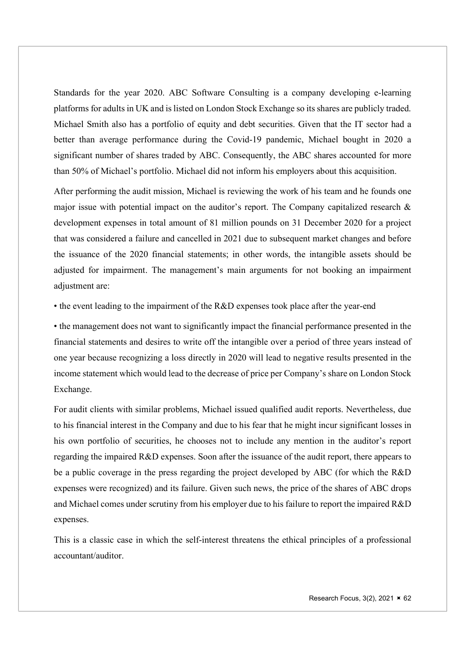Standards for the year 2020. ABC Software Consulting is a company developing e-learning platforms for adults in UK and is listed on London Stock Exchange so its shares are publicly traded. Michael Smith also has a portfolio of equity and debt securities. Given that the IT sector had a better than average performance during the Covid-19 pandemic, Michael bought in 2020 a significant number of shares traded by ABC. Consequently, the ABC shares accounted for more than 50% of Michael's portfolio. Michael did not inform his employers about this acquisition.

After performing the audit mission, Michael is reviewing the work of his team and he founds one major issue with potential impact on the auditor's report. The Company capitalized research & development expenses in total amount of 81 million pounds on 31 December 2020 for a project that was considered a failure and cancelled in 2021 due to subsequent market changes and before the issuance of the 2020 financial statements; in other words, the intangible assets should be adjusted for impairment. The management's main arguments for not booking an impairment adjustment are:

• the event leading to the impairment of the R&D expenses took place after the year-end

• the management does not want to significantly impact the financial performance presented in the financial statements and desires to write off the intangible over a period of three years instead of one year because recognizing a loss directly in 2020 will lead to negative results presented in the income statement which would lead to the decrease of price per Company's share on London Stock Exchange.

For audit clients with similar problems, Michael issued qualified audit reports. Nevertheless, due to his financial interest in the Company and due to his fear that he might incur significant losses in his own portfolio of securities, he chooses not to include any mention in the auditor's report regarding the impaired R&D expenses. Soon after the issuance of the audit report, there appears to be a public coverage in the press regarding the project developed by ABC (for which the R&D expenses were recognized) and its failure. Given such news, the price of the shares of ABC drops and Michael comes under scrutiny from his employer due to his failure to report the impaired R&D expenses.

This is a classic case in which the self-interest threatens the ethical principles of a professional accountant/auditor.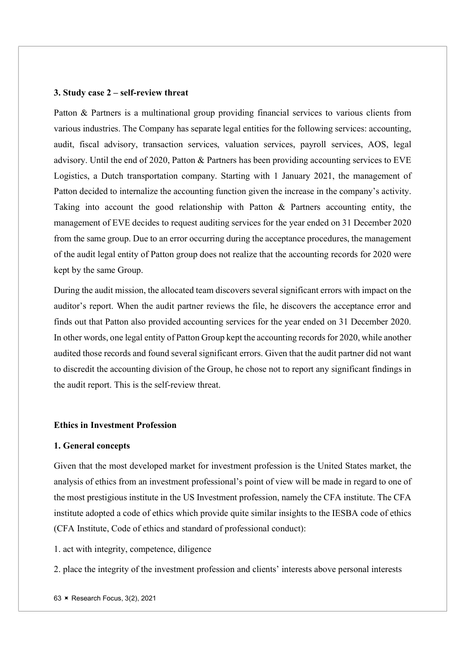#### 3. Study case 2 – self-review threat

Patton & Partners is a multinational group providing financial services to various clients from various industries. The Company has separate legal entities for the following services: accounting, audit, fiscal advisory, transaction services, valuation services, payroll services, AOS, legal advisory. Until the end of 2020, Patton & Partners has been providing accounting services to EVE Logistics, a Dutch transportation company. Starting with 1 January 2021, the management of Patton decided to internalize the accounting function given the increase in the company's activity. Taking into account the good relationship with Patton & Partners accounting entity, the management of EVE decides to request auditing services for the year ended on 31 December 2020 from the same group. Due to an error occurring during the acceptance procedures, the management of the audit legal entity of Patton group does not realize that the accounting records for 2020 were kept by the same Group.

During the audit mission, the allocated team discovers several significant errors with impact on the auditor's report. When the audit partner reviews the file, he discovers the acceptance error and finds out that Patton also provided accounting services for the year ended on 31 December 2020. In other words, one legal entity of Patton Group kept the accounting records for 2020, while another audited those records and found several significant errors. Given that the audit partner did not want to discredit the accounting division of the Group, he chose not to report any significant findings in the audit report. This is the self-review threat.

# Ethics in Investment Profession

#### 1. General concepts

Given that the most developed market for investment profession is the United States market, the analysis of ethics from an investment professional's point of view will be made in regard to one of the most prestigious institute in the US Investment profession, namely the CFA institute. The CFA institute adopted a code of ethics which provide quite similar insights to the IESBA code of ethics (CFA Institute, Code of ethics and standard of professional conduct):

1. act with integrity, competence, diligence

2. place the integrity of the investment profession and clients' interests above personal interests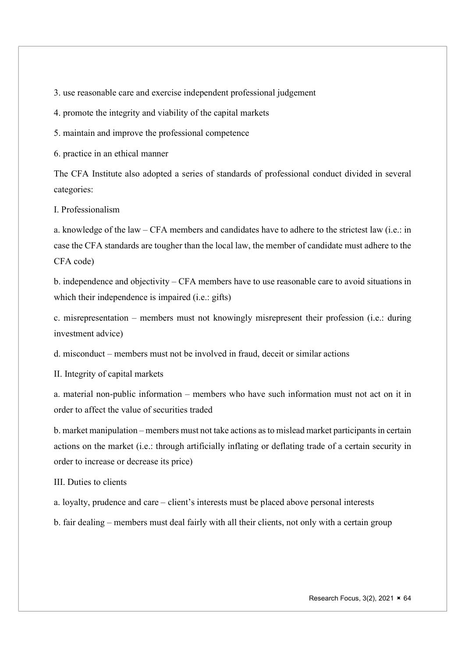3. use reasonable care and exercise independent professional judgement

4. promote the integrity and viability of the capital markets

5. maintain and improve the professional competence

6. practice in an ethical manner

The CFA Institute also adopted a series of standards of professional conduct divided in several categories:

I. Professionalism

a. knowledge of the law – CFA members and candidates have to adhere to the strictest law (i.e.: in case the CFA standards are tougher than the local law, the member of candidate must adhere to the CFA code)

b. independence and objectivity – CFA members have to use reasonable care to avoid situations in which their independence is impaired (i.e.: gifts)

c. misrepresentation – members must not knowingly misrepresent their profession (i.e.: during investment advice)

d. misconduct – members must not be involved in fraud, deceit or similar actions

II. Integrity of capital markets

a. material non-public information – members who have such information must not act on it in order to affect the value of securities traded

b. market manipulation – members must not take actions as to mislead market participants in certain actions on the market (i.e.: through artificially inflating or deflating trade of a certain security in order to increase or decrease its price)

III. Duties to clients

a. loyalty, prudence and care – client's interests must be placed above personal interests

b. fair dealing – members must deal fairly with all their clients, not only with a certain group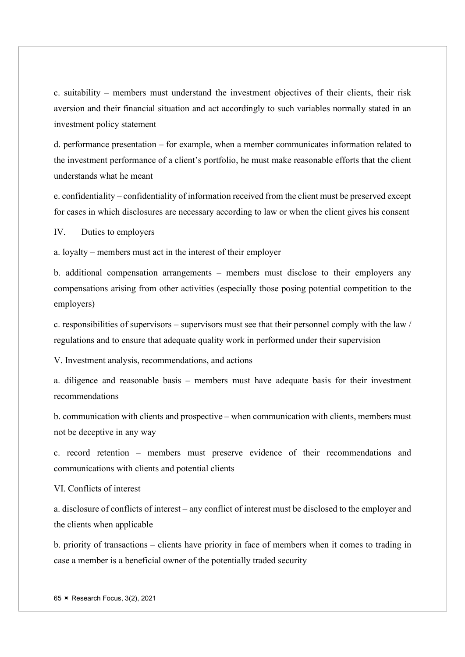c. suitability – members must understand the investment objectives of their clients, their risk aversion and their financial situation and act accordingly to such variables normally stated in an investment policy statement

d. performance presentation – for example, when a member communicates information related to the investment performance of a client's portfolio, he must make reasonable efforts that the client understands what he meant

e. confidentiality – confidentiality of information received from the client must be preserved except for cases in which disclosures are necessary according to law or when the client gives his consent

IV. Duties to employers

a. loyalty – members must act in the interest of their employer

b. additional compensation arrangements – members must disclose to their employers any compensations arising from other activities (especially those posing potential competition to the employers)

c. responsibilities of supervisors – supervisors must see that their personnel comply with the law / regulations and to ensure that adequate quality work in performed under their supervision

V. Investment analysis, recommendations, and actions

a. diligence and reasonable basis – members must have adequate basis for their investment recommendations

b. communication with clients and prospective – when communication with clients, members must not be deceptive in any way

c. record retention – members must preserve evidence of their recommendations and communications with clients and potential clients

VI. Conflicts of interest

a. disclosure of conflicts of interest – any conflict of interest must be disclosed to the employer and the clients when applicable

b. priority of transactions – clients have priority in face of members when it comes to trading in case a member is a beneficial owner of the potentially traded security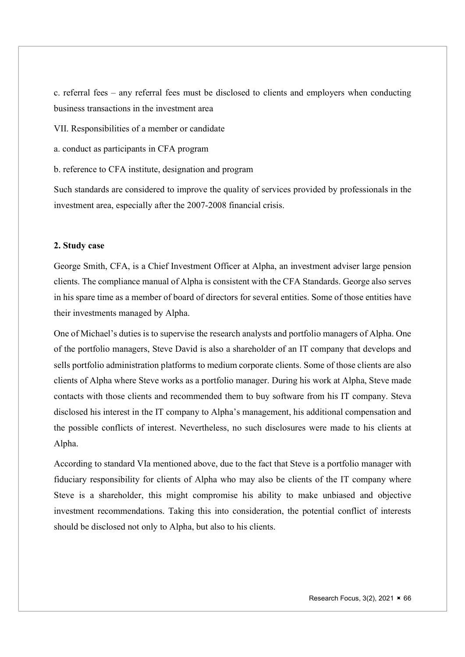c. referral fees – any referral fees must be disclosed to clients and employers when conducting business transactions in the investment area

VII. Responsibilities of a member or candidate

a. conduct as participants in CFA program

b. reference to CFA institute, designation and program

Such standards are considered to improve the quality of services provided by professionals in the investment area, especially after the 2007-2008 financial crisis.

# 2. Study case

George Smith, CFA, is a Chief Investment Officer at Alpha, an investment adviser large pension clients. The compliance manual of Alpha is consistent with the CFA Standards. George also serves in his spare time as a member of board of directors for several entities. Some of those entities have their investments managed by Alpha.

One of Michael's duties is to supervise the research analysts and portfolio managers of Alpha. One of the portfolio managers, Steve David is also a shareholder of an IT company that develops and sells portfolio administration platforms to medium corporate clients. Some of those clients are also clients of Alpha where Steve works as a portfolio manager. During his work at Alpha, Steve made contacts with those clients and recommended them to buy software from his IT company. Steva disclosed his interest in the IT company to Alpha's management, his additional compensation and the possible conflicts of interest. Nevertheless, no such disclosures were made to his clients at Alpha.

According to standard VIa mentioned above, due to the fact that Steve is a portfolio manager with fiduciary responsibility for clients of Alpha who may also be clients of the IT company where Steve is a shareholder, this might compromise his ability to make unbiased and objective investment recommendations. Taking this into consideration, the potential conflict of interests should be disclosed not only to Alpha, but also to his clients.